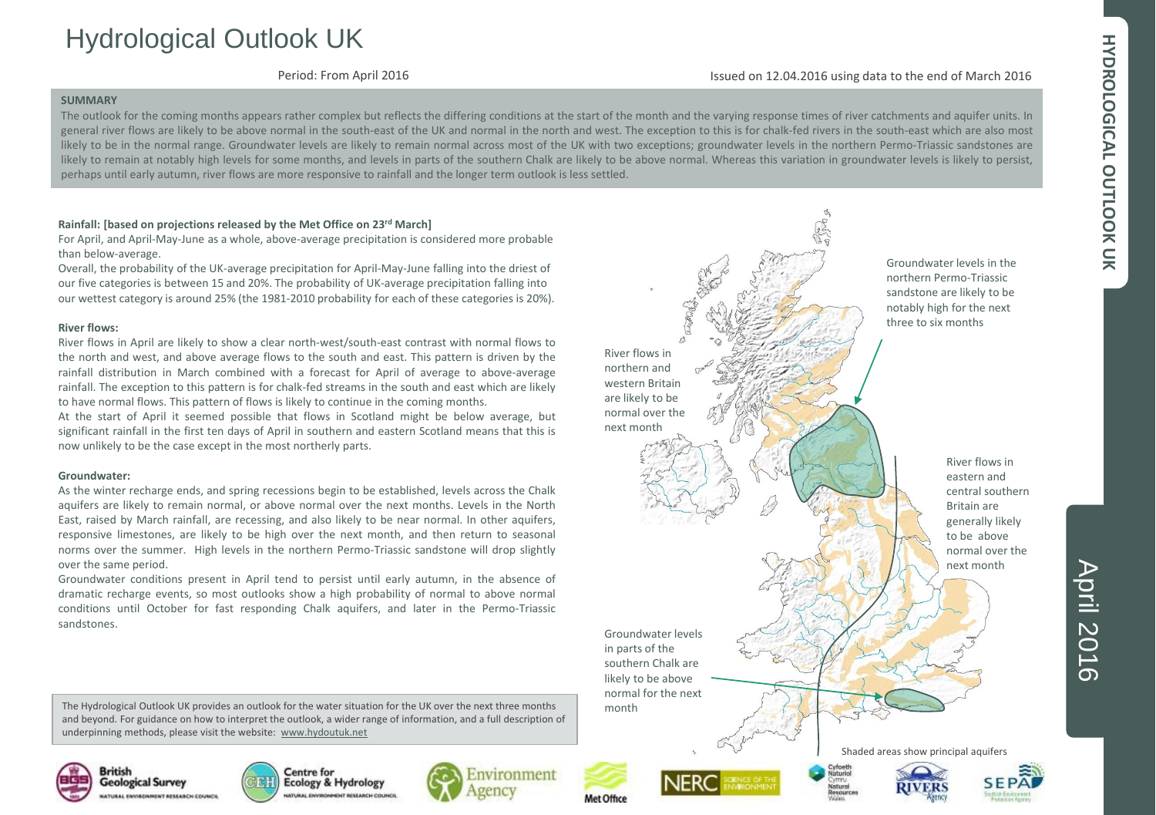# HYDROLOGICAL OUTLOOK UK **HYDROLOGICAL OUTLOOK UK**

## Hydrological Outlook UK

Period: From April 2016

### Issued on 12.04.2016 using data to the end of March 2016

### **SUMMARY**

The outlook for the coming months appears rather complex but reflects the differing conditions at the start of the month and the varying response times of river catchments and aquifer units. In general river flows are likely to be above normal in the south-east of the UK and normal in the north and west. The exception to this is for chalk-fed rivers in the south-east which are also most likely to be in the normal range. Groundwater levels are likely to remain normal across most of the UK with two exceptions; groundwater levels in the northern Permo-Triassic sandstones are likely to remain at notably high levels for some months, and levels in parts of the southern Chalk are likely to be above normal. Whereas this variation in groundwater levels is likely to persist, perhaps until early autumn, river flows are more responsive to rainfall and the longer term outlook is less settled.

### **Rainfall: [based on projections released by the Met Office on 23rd March]**

For April, and April-May-June as a whole, above-average precipitation is considered more probable than below-average.

Overall, the probability of the UK-average precipitation for April-May-June falling into the driest of our five categories is between 15 and 20%. The probability of UK-average precipitation falling into our wettest category is around 25% (the 1981-2010 probability for each of these categories is 20%).

### **River flows:**

River flows in April are likely to show a clear north-west/south-east contrast with normal flows to the north and west, and above average flows to the south and east. This pattern is driven by the rainfall distribution in March combined with a forecast for April of average to above-average rainfall. The exception to this pattern is for chalk-fed streams in the south and east which are likely to have normal flows. This pattern of flows is likely to continue in the coming months.

At the start of April it seemed possible that flows in Scotland might be below average, but significant rainfall in the first ten days of April in southern and eastern Scotland means that this is now unlikely to be the case except in the most northerly parts.

### **Groundwater:**

As the winter recharge ends, and spring recessions begin to be established, levels across the Chalk aquifers are likely to remain normal, or above normal over the next months. Levels in the North East, raised by March rainfall, are recessing, and also likely to be near normal. In other aquifers, responsive limestones, are likely to be high over the next month, and then return to seasonal norms over the summer. High levels in the northern Permo-Triassic sandstone will drop slightly over the same period.

Groundwater conditions present in April tend to persist until early autumn, in the absence of dramatic recharge events, so most outlooks show a high probability of normal to above normal conditions until October for fast responding Chalk aquifers, and later in the Permo-Triassic sandstones.

The Hydrological Outlook UK provides an outlook for the water situation for the UK over the next three months and beyond. For guidance on how to interpret the outlook, a wider range of information, and a full description of underpinning methods, please visit the website: [www.hydoutuk.net](http://www.hydoutuk.net/)











Groundwater levels in parts of the southern Chalk are likely to be above normal for the next

River flows in northern and western Britain are likely to be normal over the next month

month



River flows in eastern and central southern Britain are generally likely to be above normal over the next month

Shaded areas show principal aquifers